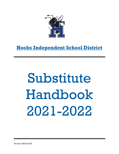

## **Hooks Independent School District**

# Substitute Handbook 2021-2022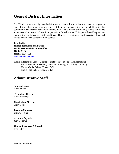#### **General District Information**

The District establishes high standards for teachers and substitutes. Substitutes are an important part of the educational program and contribute to the education of the children in this community. The District's substitute training workshop is offered periodically to help familiarize substitutes with Hooks ISD and its expectations for substitutes. This guide should help answer many of the questions a substitute might have. However, if additional questions arise, please feel free to contact the district substitute contact:

**Lisa Tullis Human Resources and Payroll Hooks ISD Administration Office 100 E. 5th St. Hooks, TX 75561 [tullisl@hooksisd.net](mailto:tullisl@hooksisd.net)**

Hooks Independent School District consists of three public school campuses:

- Hooks Elementary School (Grades Pre-Kindergarten through Grade 4)
- Hooks Middle School (Grades 5-8)
- Hooks High School (Grades 9-12)

#### **Administrative Staff**

**Superintendent** Keith Minter

**Technology Director** Rowdy Peacock

**Curriculum Director** Tracy Cook

**Business Manager** Penny Morphew

**Accounts Payable** Judy Cochran

**Human Resources & Payroll** Lisa Tullis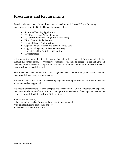#### **Procedures and Requirements**

In order to be considered for employment as a substitute with Hooks ISD, the following items must be submitted to the Human Resources Office:

- Substitute Teaching Application
- W-4 Form (Federal Withholding tax)
- I-9 Form (Employment Eligibility Verification)
- Direct Deposit Authorization
- **Criminal History Authorization**
- Copy of Driver's License and Social Security Card
- Copy of College/High School Transcript(s)
- Copy of Teaching Certificate (if applicable)
- **Two references**

After submitting an application, the prospective sub will be contacted for an interview in the Human Resources office. Prospective substitutes will not be placed on the list until all documentation is received. Campuses are provided with an updated list of eligible substitutes as new substitutes are added to the list.

Substitutes may schedule themselves for assignments using the AESOP system or the substitute may be called by a campus representative.

Human Resources will provide the necessary login and training information for AESOP once the substitute has been approved.

If a substitute assignment has been accepted and the substitute is unable to report when expected, the substitute should notify the campus contact person immediately. The campus contact person should be provided with the following information:

- the substitute's name:
- the name of the teacher for whom the substitute was assigned;
- the estimated length of absence; and /or
- any other pertinent information.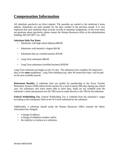### **Compensation Information**

All substitute paychecks are direct deposit. The paystubs are mailed to the substitute's home address. Substitutes are paid monthly for the days worked in the previous month. It is very important that each substitute keep accurate records of substitute assignments. In the event there are questions about paychecks, please contact the Human Resources office at the administration building, 903-547-6077 ext. 1022.

#### **Substitute Daily Pay Rates**

- Substitutes with high school diploma \$60.00
- Substitutes with bachelor's degree \$65.00
- Substitutes that are certified teachers \$70.00
- Long Term substitutes \$80.00
- Long Term substitutes (certified teachers) \$100.00

Long Term substitute pay begins on the 31<sup>st</sup> day. The substitute must complete 30 consecutive days in the **same** assignment. Long Term substitute pay, after 30 consecutive days, will be paid on the next available payroll.

**Retirement Benefits.** A substitute does not qualify for membership in the Texas Teacher Retirement System (TRS) unless he/she teaches for a total of ninety (90) days during one school year. For substitutes who teach ninety (90) or more days, funds are not withheld from the substitute's check and payment into the TRS must be made directly to the TRS by the substitute.

**Federal Withholding Tax.** Federal Withholding Tax is withheld from the substitute's wages according to the exemptions filed on the W-4 form submitted by the substitute.

Additionally, a substitute should notify the Human Resources Office anytime the below information has changed:

- a change of address;
- a change of telephone number; and/or
- the inability to continue as a substitute.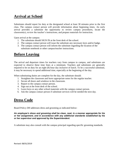## **Arrival at School**

Substitutes should report for duty at the designated school at least 30 minutes prior to the first class. The campus contact person will provide information about beginning times. An early arrival provides a substitute the opportunity to review campus procedures, locate the classroom(s), review the teacher's instructions, and prepare materials for instruction.

Upon arrival at the campus:

- 1. The substitute should SIGN IN at the front desk of the school.
- 2. The campus contact person will issue the substitute any necessary keys and/or badge.
- 3. The campus contact person will inform the substitute regarding the location of the substitute notebook or other campus/teacher instructions.

#### **Before Leaving**

The arrival and departure times for teachers vary from campus to campus, and substitutes are expected to observe these time lines at a minimum. Teachers and substitutes are generally required to be on duty for an eight (8) hour day inclusive of lunch. To be a successful substitute, it may be necessary to spend additional time, especially at the beginning of the day.

When substituting duties are complete for the day, the substitute should:

- 1. Straighten the classroom and leave appropriate notes for the regular teacher.
- 2. Secure all doors and windows in the classroom.
- 3. Report to the campus contact person.
- 4. Sign out at the front desk of the school.
- 5. Leave keys or any other school materials with the campus contact person.
- 6. Ask the campus contact person if substitute services will be needed the next day.

#### **Dress Code**

Board Policy *DH* addresses dress and grooming as indicated below:

#### *An employee's dress and grooming shall be clean, neat, in a manner appropriate for his or her assignment, and in accordance with any additional standards established by his or her supervisor and approved by the Superintendent.*

A substitute may also consult with the campus principal regarding specific grooming standards.